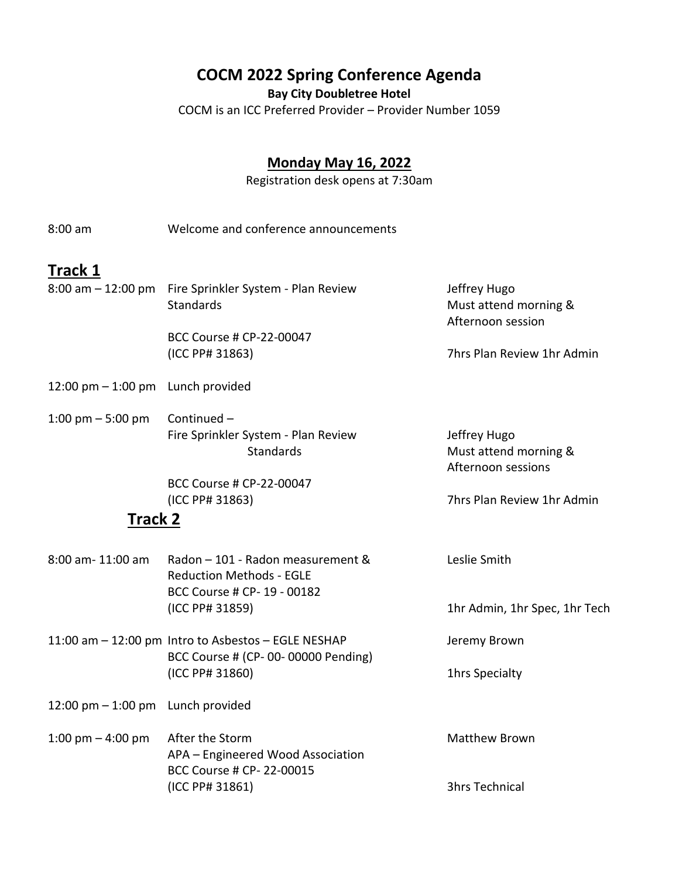## **COCM 2022 Spring Conference Agenda**

**Bay City Doubletree Hotel**

COCM is an ICC Preferred Provider – Provider Number 1059

### **Monday May 16, 2022**

Registration desk opens at 7:30am

8:00 am Welcome and conference announcements

## **Track 1**

|  | 8:00 am - 12:00 pm Fire Sprinkler System - Plan Review | Jeffrey Hugo               |
|--|--------------------------------------------------------|----------------------------|
|  | <b>Standards</b>                                       | Must attend morning &      |
|  |                                                        | Afternoon session          |
|  | BCC Course # CP-22-00047                               |                            |
|  | (ICC PP# 31863)                                        | 7hrs Plan Review 1hr Admin |
|  |                                                        |                            |

- 12:00 pm 1:00 pm Lunch provided
- 1:00 pm  $-5:00$  pm Continued  $-$ Fire Sprinkler System - Plan Review Jeffrey Hugo Standards Must attend morning & Afternoon sessions

BCC Course # CP-22-00047 (ICC PP# 31863) 7hrs Plan Review 1hr Admin

#### **Track 2**

| 8:00 am- 11:00 am | Radon - 101 - Radon measurement &                   | Leslie Smith                  |
|-------------------|-----------------------------------------------------|-------------------------------|
|                   | <b>Reduction Methods - EGLE</b>                     |                               |
|                   | BCC Course # CP- 19 - 00182                         |                               |
|                   | (ICC PP# 31859)                                     | 1hr Admin, 1hr Spec, 1hr Tech |
|                   | 11:00 am - 12:00 pm Intro to Asbestos - EGLE NESHAP | Jeremy Brown                  |
|                   | BCC Course # (CP-00-00000 Pending)                  |                               |

(ICC PP# 31860) 1hrs Specialty

- $12:00 \text{ pm} 1:00 \text{ pm}$  Lunch provided
- 1:00 pm 4:00 pm After the Storm Matthew Brown APA – Engineered Wood Association BCC Course # CP- 22-00015 (ICC PP# 31861) 3hrs Technical